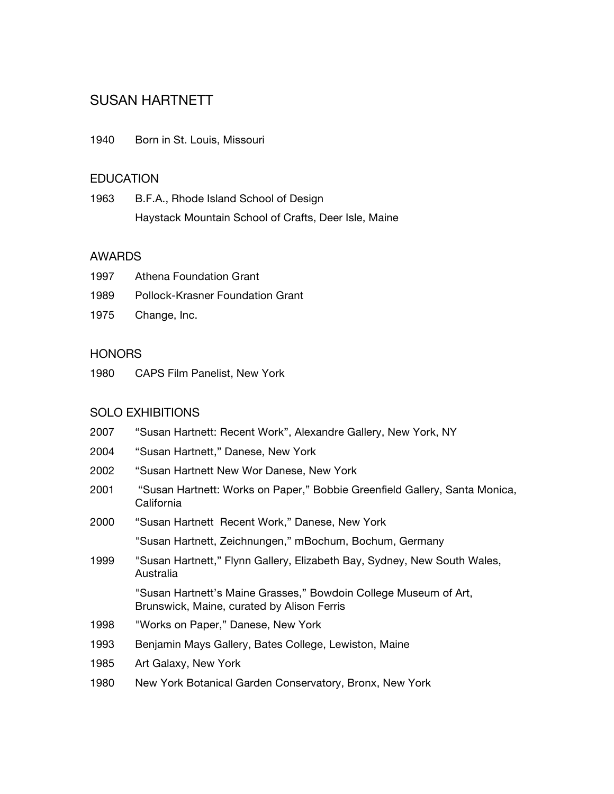# SUSAN HARTNETT

1940 Born in St. Louis, Missouri

#### **EDUCATION**

1963 B.F.A., Rhode Island School of Design Haystack Mountain School of Crafts, Deer Isle, Maine

#### AWARDS

| 1997 | Athena Foundation Grant          |
|------|----------------------------------|
| 1989 | Pollock-Krasner Foundation Grant |

1975 Change, Inc.

## **HONORS**

1980 CAPS Film Panelist, New York

## SOLO EXHIBITIONS

- 2007 "Susan Hartnett: Recent Work", Alexandre Gallery, New York, NY
- 2004 "Susan Hartnett," Danese, New York
- 2002 "Susan Hartnett New Wor Danese, New York
- 2001 "Susan Hartnett: Works on Paper," Bobbie Greenfield Gallery, Santa Monica, California
- 2000 "Susan Hartnett Recent Work," Danese, New York

"Susan Hartnett, Zeichnungen," mBochum, Bochum, Germany

1999 "Susan Hartnett," Flynn Gallery, Elizabeth Bay, Sydney, New South Wales, Australia

> "Susan Hartnett's Maine Grasses," Bowdoin College Museum of Art, Brunswick, Maine, curated by Alison Ferris

- 1998 "Works on Paper," Danese, New York
- 1993 Benjamin Mays Gallery, Bates College, Lewiston, Maine
- 1985 Art Galaxy, New York
- 1980 New York Botanical Garden Conservatory, Bronx, New York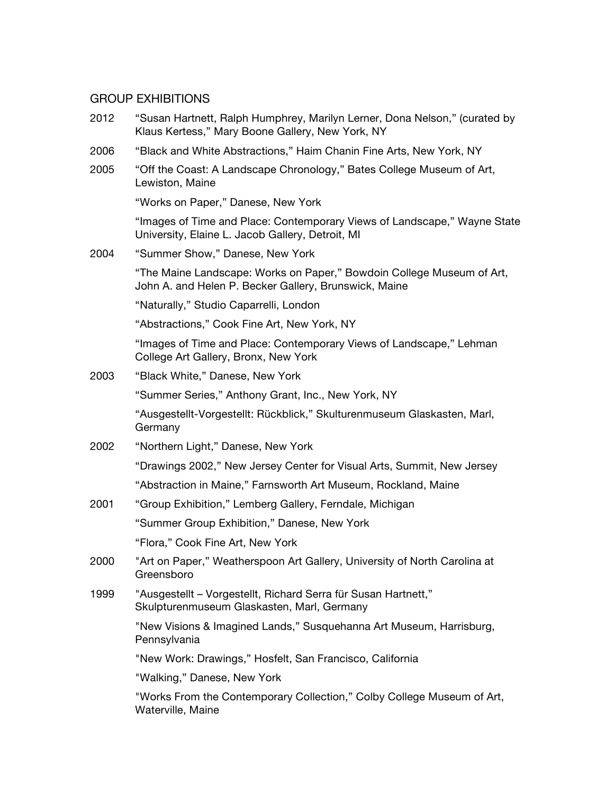#### GROUP EXHIBITIONS

- 2012 "Susan Hartnett, Ralph Humphrey, Marilyn Lerner, Dona Nelson," (curated by Klaus Kertess," Mary Boone Gallery, New York, NY
- 2006 "Black and White Abstractions," Haim Chanin Fine Arts, New York, NY
- 2005 "Off the Coast: A Landscape Chronology," Bates College Museum of Art, Lewiston, Maine

"Works on Paper," Danese, New York

"Images of Time and Place: Contemporary Views of Landscape," Wayne State University, Elaine L. Jacob Gallery, Detroit, MI

2004 "Summer Show," Danese, New York

"The Maine Landscape: Works on Paper," Bowdoin College Museum of Art, John A. and Helen P. Becker Gallery, Brunswick, Maine

"Naturally," Studio Caparrelli, London

"Abstractions," Cook Fine Art, New York, NY

"Images of Time and Place: Contemporary Views of Landscape," Lehman College Art Gallery, Bronx, New York

2003 "Black White," Danese, New York

"Summer Series," Anthony Grant, Inc., New York, NY

"Ausgestellt-Vorgestellt: Rückblick," Skulturenmuseum Glaskasten, Marl, Germany

2002 "Northern Light," Danese, New York

"Drawings 2002," New Jersey Center for Visual Arts, Summit, New Jersey

"Abstraction in Maine," Farnsworth Art Museum, Rockland, Maine

2001 "Group Exhibition," Lemberg Gallery, Ferndale, Michigan

"Summer Group Exhibition," Danese, New York

"Flora," Cook Fine Art, New York

- 2000 "Art on Paper," Weatherspoon Art Gallery, University of North Carolina at Greensboro
- 1999 "Ausgestellt Vorgestellt, Richard Serra für Susan Hartnett," Skulpturenmuseum Glaskasten, Marl, Germany

"New Visions & Imagined Lands," Susquehanna Art Museum, Harrisburg, **Pennsylvania** 

"New Work: Drawings," Hosfelt, San Francisco, California

"Walking," Danese, New York

"Works From the Contemporary Collection," Colby College Museum of Art, Waterville, Maine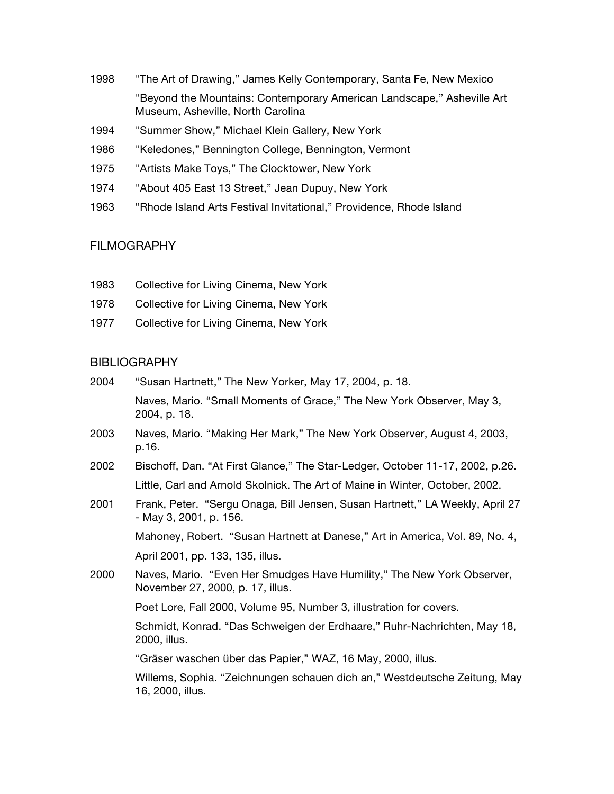- 1998 "The Art of Drawing," James Kelly Contemporary, Santa Fe, New Mexico "Beyond the Mountains: Contemporary American Landscape," Asheville Art Museum, Asheville, North Carolina
- 1994 "Summer Show," Michael Klein Gallery, New York
- 1986 "Keledones," Bennington College, Bennington, Vermont
- 1975 "Artists Make Toys," The Clocktower, New York
- 1974 "About 405 East 13 Street," Jean Dupuy, New York
- 1963 "Rhode Island Arts Festival Invitational," Providence, Rhode Island

## FILMOGRAPHY

- 1983 Collective for Living Cinema, New York
- 1978 Collective for Living Cinema, New York
- 1977 Collective for Living Cinema, New York

## BIBLIOGRAPHY

2004 "Susan Hartnett," The New Yorker, May 17, 2004, p. 18. Naves, Mario. "Small Moments of Grace," The New York Observer, May 3, 2004, p. 18. 2003 Naves, Mario. "Making Her Mark," The New York Observer, August 4, 2003, p.16. 2002 Bischoff, Dan. "At First Glance," The Star-Ledger, October 11-17, 2002, p.26. Little, Carl and Arnold Skolnick. The Art of Maine in Winter, October, 2002. 2001 Frank, Peter. "Sergu Onaga, Bill Jensen, Susan Hartnett," LA Weekly, April 27 - May 3, 2001, p. 156. Mahoney, Robert. "Susan Hartnett at Danese," Art in America, Vol. 89, No. 4, April 2001, pp. 133, 135, illus. 2000 Naves, Mario. "Even Her Smudges Have Humility," The New York Observer, November 27, 2000, p. 17, illus. Poet Lore, Fall 2000, Volume 95, Number 3, illustration for covers. Schmidt, Konrad. "Das Schweigen der Erdhaare," Ruhr-Nachrichten, May 18, 2000, illus. "Gräser waschen über das Papier," WAZ, 16 May, 2000, illus. Willems, Sophia. "Zeichnungen schauen dich an," Westdeutsche Zeitung, May 16, 2000, illus.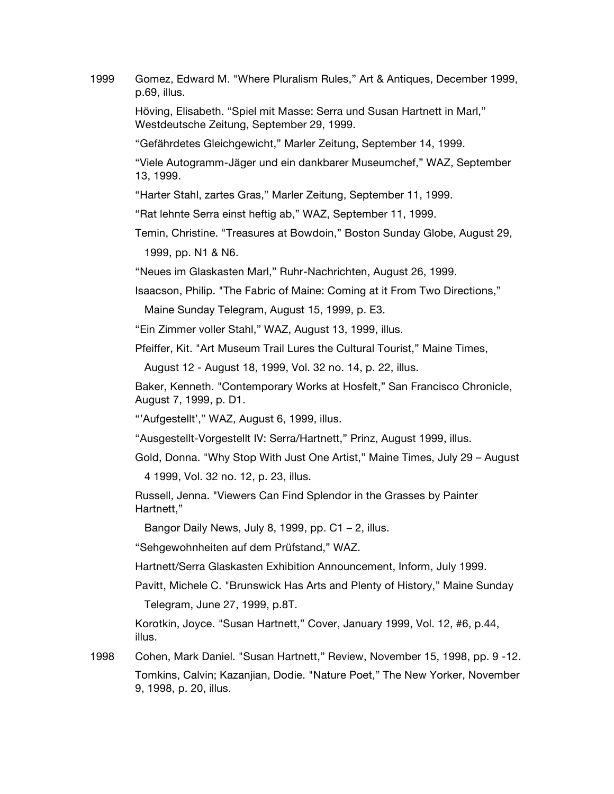1999 Gomez, Edward M. "Where Pluralism Rules," Art & Antiques, December 1999, p.69, illus.

> Höving, Elisabeth. "Spiel mit Masse: Serra und Susan Hartnett in Marl," Westdeutsche Zeitung, September 29, 1999.

"Gefährdetes Gleichgewicht," Marler Zeitung, September 14, 1999.

"Viele Autogramm-Jäger und ein dankbarer Museumchef," WAZ, September 13, 1999.

"Harter Stahl, zartes Gras," Marler Zeitung, September 11, 1999.

"Rat lehnte Serra einst heftig ab," WAZ, September 11, 1999.

Temin, Christine. "Treasures at Bowdoin," Boston Sunday Globe, August 29,

1999, pp. N1 & N6.

"Neues im Glaskasten Marl," Ruhr-Nachrichten, August 26, 1999.

Isaacson, Philip. "The Fabric of Maine: Coming at it From Two Directions,"

Maine Sunday Telegram, August 15, 1999, p. E3.

"Ein Zimmer voller Stahl," WAZ, August 13, 1999, illus.

Pfeiffer, Kit. "Art Museum Trail Lures the Cultural Tourist," Maine Times,

August 12 - August 18, 1999, Vol. 32 no. 14, p. 22, illus.

Baker, Kenneth. "Contemporary Works at Hosfelt," San Francisco Chronicle, August 7, 1999, p. D1.

"'Aufgestellt'," WAZ, August 6, 1999, illus.

"Ausgestellt-Vorgestellt IV: Serra/Hartnett," Prinz, August 1999, illus.

Gold, Donna. "Why Stop With Just One Artist," Maine Times, July 29 – August

4 1999, Vol. 32 no. 12, p. 23, illus.

Russell, Jenna. "Viewers Can Find Splendor in the Grasses by Painter Hartnett,"

Bangor Daily News, July 8, 1999, pp.  $C1 - 2$ , illus.

"Sehgewohnheiten auf dem Prüfstand," WAZ.

Hartnett/Serra Glaskasten Exhibition Announcement, Inform, July 1999.

Pavitt, Michele C. "Brunswick Has Arts and Plenty of History," Maine Sunday

Telegram, June 27, 1999, p.8T.

Korotkin, Joyce. "Susan Hartnett," Cover, January 1999, Vol. 12, #6, p.44, illus.

1998 Cohen, Mark Daniel. "Susan Hartnett," Review, November 15, 1998, pp. 9 -12. Tomkins, Calvin; Kazanjian, Dodie. "Nature Poet," The New Yorker, November 9, 1998, p. 20, illus.